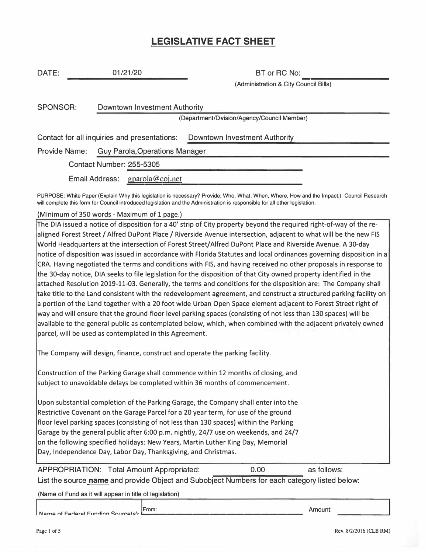## **LEGISLATIVE FACT SHEET**

| DATE:                                        | 01/21/20                              |                 | BT or RC No:                                                                                                                            |  |  |
|----------------------------------------------|---------------------------------------|-----------------|-----------------------------------------------------------------------------------------------------------------------------------------|--|--|
|                                              |                                       |                 | (Administration & City Council Bills)                                                                                                   |  |  |
| <b>SPONSOR:</b>                              | Downtown Investment Authority         |                 |                                                                                                                                         |  |  |
|                                              |                                       |                 | (Department/Division/Agency/Council Member)                                                                                             |  |  |
| Contact for all inquiries and presentations: |                                       |                 | Downtown Investment Authority                                                                                                           |  |  |
| <b>Provide Name:</b>                         | <b>Guy Parola, Operations Manager</b> |                 |                                                                                                                                         |  |  |
|                                              | Contact Number: 255-5305              |                 |                                                                                                                                         |  |  |
|                                              | <b>Email Address:</b>                 | gparola@coj.net |                                                                                                                                         |  |  |
|                                              |                                       |                 | PURPOSE: White Paper (Explain Why this legislation is necessary? Provide; Who, What, When, Where, How and the Impact.) Council Research |  |  |

PURPOSE: White Paper (Explain Why this legislation is necessary? Provide; Who, What, When, Where, How and the Impact.) Council Research will complete this form for Council introduced legislation and the Administration is responsible for all other legislation.

(Minimum of 350 words - Maximum of 1 page.)

The DIA issued a notice of disposition for a 40' strip of City property beyond the required right-of-way of the realigned Forest Street / Alfred DuPont Place / Riverside Avenue intersection, adjacent to what will be the new FIS World Headquarters at the intersection of Forest Street/Alfred DuPont Place and Riverside Avenue. A 30-day notice of disposition was issued in accordance with Florida Statutes and local ordinances governing disposition in a CRA. Having negotiated the terms and conditions with FIS, and having received no other proposals in response to the 30-day notice, DIA seeks to file legislation for the disposition of that City owned property identified in the attached Resolution 2019-11-03. Generally, the terms and conditions for the disposition are: The Company shall take title to the Land consistent with the redevelopment agreement, and construct a structured parking facility on a portion of the Land together with a 20 foot wide Urban Open Space element adjacent to Forest Street right of way and will ensure that the ground floor level parking spaces (consisting of not less than 130 spaces) will be available to the general public as contemplated below, which, when combined with the adjacent privately owned parcel, will be used as contemplated in this Agreement.

The Company will design, finance, construct and operate the parking facility.

Construction of the Parking Garage shall commence within 12 months of closing, and subject to unavoidable delays be completed within 36 months of commencement.

Upon substantial completion of the Parking Garage, the Company shall enter into the Restrictive Covenant on the Garage Parcel for a 20 year term, for use of the ground floor level parking spaces (consisting of not less than 130 spaces) within the Parking Garage by the general public after 6:00 p.m. nightly, 24/7 use on weekends, and 24/7 on the following specified holidays: New Years, Martin Luther King Day, Memorial Day, Independence Day, Labor Day, Thanksgiving, and Christmas.

APPROPRIATION: Total Amount Appropriated: 0.00 as follows: List the source **name** and provide Object and Subobject Numbers for each category listed below:

(Name of Fund as it will appear in title of legislation)

**From:** Amount: **From:** Cource(c): **From:** Name of Federal Punct: **11 inc.** Amount:

Pagel of5 **Rev.** 8/2/2016 **(CLB RM)**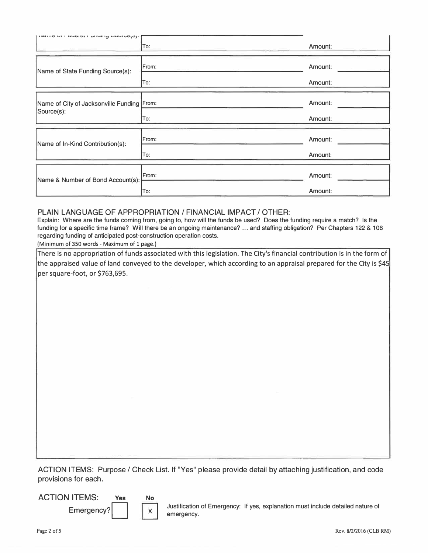| premic on readitor ranamy operately.       | To:   | Amount: |
|--------------------------------------------|-------|---------|
| Name of State Funding Source(s):           | From: | Amount: |
|                                            | To:   | Amount: |
| Name of City of Jacksonville Funding From: |       | Amount: |
| Source(s):                                 | To:   | Amount: |
| Name of In-Kind Contribution(s):           | From: | Amount: |
|                                            | To:   | Amount: |
|                                            | From: | Amount: |
| Name & Number of Bond Account(s):          | To:   | Amount: |

## PLAIN LANGUAGE OF APPROPRIATION / FINANCIAL IMPACT / OTHER:

Explain: Where are the funds coming from, going to, how will the funds be used? Does the funding require a match? Is the funding for a specific time frame? Will there be an ongoing maintenance? ... and staffing obligation? Per Chapters 122 & 106 regarding funding of anticipated post-construction operation costs.

(Minimum of 350 words - Maximum of 1 page.)

There is no appropriation of funds associated with this legislation. The City's financial contribution is in the form of the appraised value of land conveyed to the developer, which according to an appraisal prepared for the City is \$45 per square-foot, or \$763,695.

ACTION ITEMS: Purpose / Check List. If "Yes" please provide detail by attaching justification, and code provisions for each.

ACTION ITEMS: **Yes No** 



Emergency?  $\begin{array}{|c|c|c|c|}\hline \text{x} & \text{Justification of Emergency: If yes, explanation must include detailed nature of emergency.} \hline \end{array}$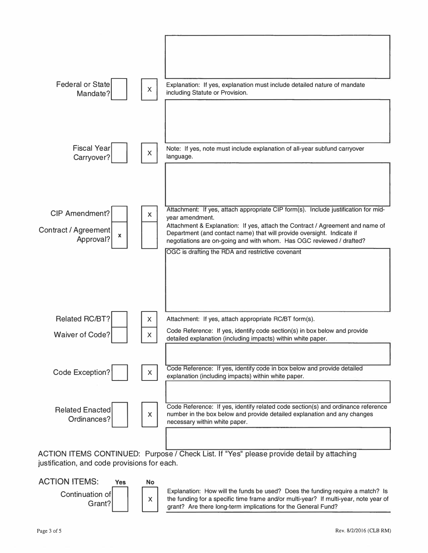

ACTION ITEMS CONTINUED: Purpose / Check List. If "Yes" please provide detail by attaching justification, and code provisions for each.



ation, and code provisions for each.<br>
ON ITEMS: Yes No<br>
Continuation of Kaplanation: How will the funds be used? Does the funding require a match? Is<br>
Grant? (Schalars) Explanation: How will the funds be used? Does the fun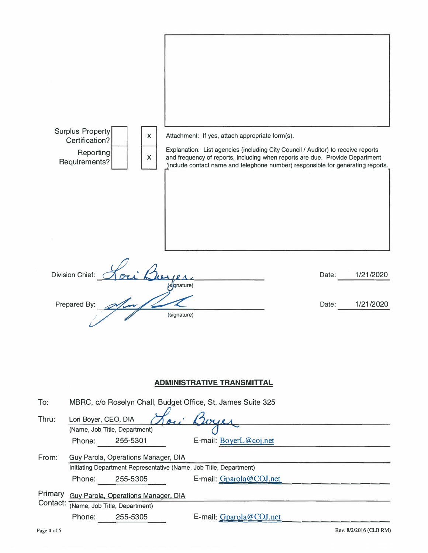|          | Surplus Property<br>X<br>Certification?<br>Reporting<br>X<br>Requirements? |             | Attachment: If yes, attach appropriate form(s).<br>Explanation: List agencies (including City Council / Auditor) to receive reports<br>and frequency of reports, including when reports are due. Provide Department<br>(include contact name and telephone number) responsible for generating reports. |       |           |
|----------|----------------------------------------------------------------------------|-------------|--------------------------------------------------------------------------------------------------------------------------------------------------------------------------------------------------------------------------------------------------------------------------------------------------------|-------|-----------|
|          |                                                                            |             |                                                                                                                                                                                                                                                                                                        |       |           |
|          | <b>Division Chief:</b>                                                     | sgnature)   |                                                                                                                                                                                                                                                                                                        | Date: | 1/21/2020 |
|          | Prepared By:                                                               | (signature) |                                                                                                                                                                                                                                                                                                        | Date: | 1/21/2020 |
|          |                                                                            |             | <b>ADMINISTRATIVE TRANSMITTAL</b>                                                                                                                                                                                                                                                                      |       |           |
| To:      | MBRC, c/o Roselyn Chall, Budget Office, St. James Suite 325                |             |                                                                                                                                                                                                                                                                                                        |       |           |
| Thru:    | Lori Boyer, CEO, DIA                                                       |             |                                                                                                                                                                                                                                                                                                        |       |           |
|          | (Name, Job Title, Department)<br>Phone:<br>255-5301                        |             | E-mail: BoyerL@coj.net                                                                                                                                                                                                                                                                                 |       |           |
| From:    | Guy Parola, Operations Manager, DIA                                        |             |                                                                                                                                                                                                                                                                                                        |       |           |
|          | Initiating Department Representative (Name, Job Title, Department)         |             |                                                                                                                                                                                                                                                                                                        |       |           |
|          | Phone:<br>255-5305                                                         |             | E-mail: Gparola@COJ.net                                                                                                                                                                                                                                                                                |       |           |
| Primary  | Guy Parola, Operations Manager, DIA                                        |             |                                                                                                                                                                                                                                                                                                        |       |           |
| Contact: | (Name, Job Title, Department)                                              |             |                                                                                                                                                                                                                                                                                                        |       |           |
|          | Phone:<br>255-5305                                                         |             | E-mail: Gparola@COJ.net                                                                                                                                                                                                                                                                                |       |           |